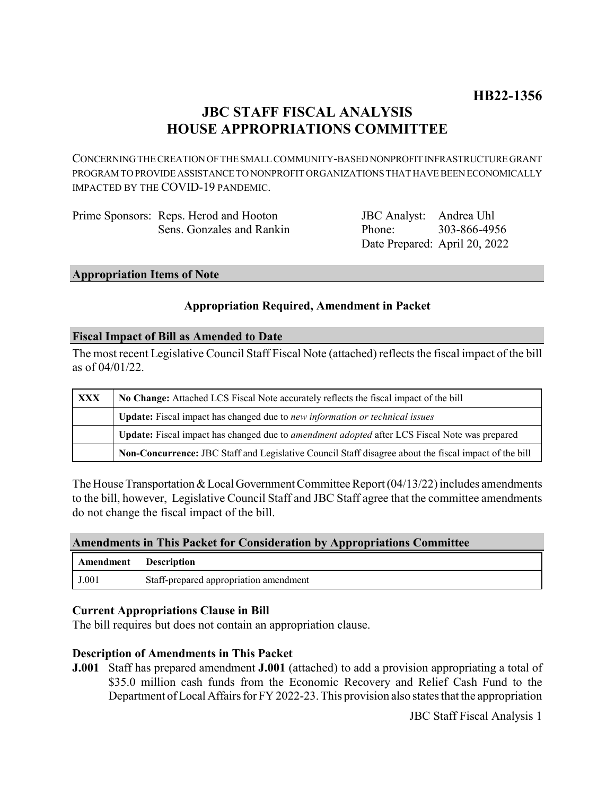# **JBC STAFF FISCAL ANALYSIS HOUSE APPROPRIATIONS COMMITTEE**

CONCERNING THE CREATION OF THE SMALL COMMUNITY-BASED NONPROFIT INFRASTRUCTURE GRANT PROGRAM TO PROVIDE ASSISTANCE TO NONPROFIT ORGANIZATIONS THAT HAVE BEEN ECONOMICALLY IMPACTED BY THE COVID-19 PANDEMIC.

| Prime Sponsors: Reps. Herod and Hooton | JBC Analyst: Andrea Uhl       |              |
|----------------------------------------|-------------------------------|--------------|
| Sens. Gonzales and Rankin              | Phone:                        | 303-866-4956 |
|                                        | Date Prepared: April 20, 2022 |              |

**Appropriation Items of Note**

# **Appropriation Required, Amendment in Packet**

#### **Fiscal Impact of Bill as Amended to Date**

The most recent Legislative Council Staff Fiscal Note (attached) reflects the fiscal impact of the bill as of 04/01/22.

| <b>XXX</b> | No Change: Attached LCS Fiscal Note accurately reflects the fiscal impact of the bill                 |  |
|------------|-------------------------------------------------------------------------------------------------------|--|
|            | Update: Fiscal impact has changed due to new information or technical issues                          |  |
|            | Update: Fiscal impact has changed due to <i>amendment adopted</i> after LCS Fiscal Note was prepared  |  |
|            | Non-Concurrence: JBC Staff and Legislative Council Staff disagree about the fiscal impact of the bill |  |

The House Transportation & Local Government Committee Report (04/13/22) includes amendments to the bill, however, Legislative Council Staff and JBC Staff agree that the committee amendments do not change the fiscal impact of the bill.

#### **Amendments in This Packet for Consideration by Appropriations Committee**

| Amendment | Description                            |
|-----------|----------------------------------------|
| J.001     | Staff-prepared appropriation amendment |

#### **Current Appropriations Clause in Bill**

The bill requires but does not contain an appropriation clause.

#### **Description of Amendments in This Packet**

**J.001** Staff has prepared amendment **J.001** (attached) to add a provision appropriating a total of \$35.0 million cash funds from the Economic Recovery and Relief Cash Fund to the Department of Local Affairs for FY 2022-23. This provision also states that the appropriation